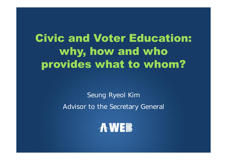# **Civic and Voter Education:** why, how and who provides what to whom?

**Seung Ryeol Kim Advisor to the Secretary General**

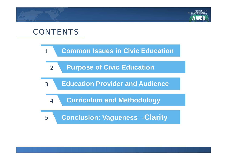# **CONTENTS**

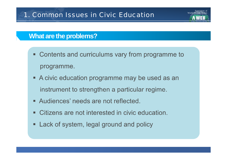#### **What are the problems?**

• Contents and curriculums vary from programme to programme.

Association of

- A civic education programme may be used as an instrument to strengthen a particular regime.
- Audiences' needs are not reflected.
- Citizens are not interested in civic education.
- Lack of system, legal ground and policy п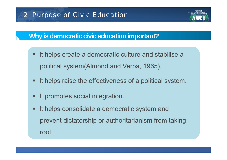Association of

## **Why is democratic civic education important?**

- It helps create a democratic culture and stabilise a political system(Almond and Verba, 1965).
- It helps raise the effectiveness of a political system.
- It promotes social integration.
- It helps consolidate a democratic system and prevent dictatorship or authoritarianism from taking root.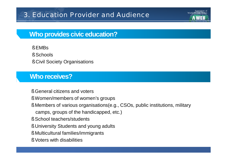# 3. Education Provider and Audience

#### **Who provides civic education?**

§ EMBs

- § Schools
- § Civil Society Organisations

#### **Who receives?**

- § General citizens and voters
- § Women/members of women's groups
- § Members of various organisations(e.g., CSOs, public institutions, military camps, groups of the handicapped, etc.)

 $\Delta$ ssociation

- § School teachers/students
- § University Students and young adults
- § Multicultural families/immigrants
- § Voters with disabilities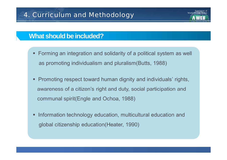#### **What should be included?**

- Forming an integration and solidarity of a political system as well as promoting individualism and pluralism (Butts, 1988)
- Promoting respect toward human dignity and individuals' rights, awareness of a citizen's right and duty, social participation and communal spirit(Engle and Ochoa, 1988)
- Information technology education, multicultural education and п global citizenship education (Heater, 1990)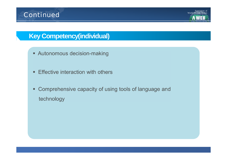# **Key Competency(individual)**

- Autonomous decision-making
- **Effective interaction with others**  $\mathbf{u}$
- Comprehensive capacity of using tools of language and  $\blacksquare$ technology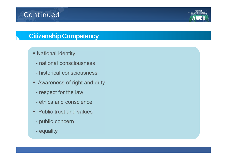# **Citizenship Competency**

- National identity
	- national consciousness
	- historical consciousness
- Awareness of right and duty
	- respect for the law
	- ethics and conscience
- Public trust and values
	- public concern
	- equality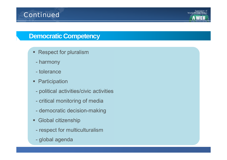## **Democratic Competency**

- Respect for pluralism
	- harmony
	- tolerance
- Participation  $\blacksquare$ 
	- political activities/civic activities
	- critical monitoring of media
	- democratic decision-making
- Global citizenship  $\blacksquare$ 
	- respect for multiculturalism
	- global agenda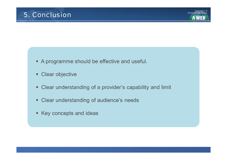- A programme should be effective and useful.
- Clear objective
- Clear understanding of a provider's capability and limit
- Clear understanding of audience's needs
- Key concepts and ideas